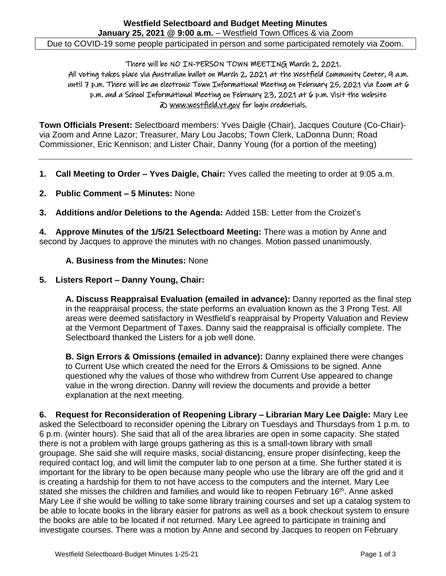There will be NO IN-PERSON TOWN MEETING March 2, 2021. All voting takes place via Australian ballot on March 2, 2021 at the Westfield Community Center, 9 a.m. until 7 p.m. There will be an electronic Town Informational Meeting on February 25, 2021 via Zoom at 6 p.m. and a School Informational Meeting on February 23, 2021 at 6 p.m. Visit the website @ [www.westfield.vt.gov](http://www.westfield.vt.gov/) for login credentials.

**Town Officials Present:** Selectboard members: Yves Daigle (Chair), Jacques Couture (Co-Chair) via Zoom and Anne Lazor; Treasurer, Mary Lou Jacobs; Town Clerk, LaDonna Dunn; Road Commissioner, Eric Kennison; and Lister Chair, Danny Young (for a portion of the meeting)

- **1. Call Meeting to Order – Yves Daigle, Chair:** Yves called the meeting to order at 9:05 a.m.
- **2. Public Comment – 5 Minutes:** None
- **3. Additions and/or Deletions to the Agenda:** Added 15B: Letter from the Croizet's

**4. Approve Minutes of the 1/5/21 Selectboard Meeting:** There was a motion by Anne and second by Jacques to approve the minutes with no changes. Motion passed unanimously.

## **A. Business from the Minutes:** None

## **5. Listers Report – Danny Young, Chair:**

**A. Discuss Reappraisal Evaluation (emailed in advance):** Danny reported as the final step in the reappraisal process, the state performs an evaluation known as the 3 Prong Test. All areas were deemed satisfactory in Westfield's reappraisal by Property Valuation and Review at the Vermont Department of Taxes. Danny said the reappraisal is officially complete. The Selectboard thanked the Listers for a job well done.

**B. Sign Errors & Omissions (emailed in advance):** Danny explained there were changes to Current Use which created the need for the Errors & Omissions to be signed. Anne questioned why the values of those who withdrew from Current Use appeared to change value in the wrong direction. Danny will review the documents and provide a better explanation at the next meeting.

**6. Request for Reconsideration of Reopening Library – Librarian Mary Lee Daigle:** Mary Lee asked the Selectboard to reconsider opening the Library on Tuesdays and Thursdays from 1 p.m. to 6 p.m. (winter hours). She said that all of the area libraries are open in some capacity. She stated there is not a problem with large groups gathering as this is a small-town library with small groupage. She said she will require masks, social distancing, ensure proper disinfecting, keep the required contact log, and will limit the computer lab to one person at a time. She further stated it is important for the library to be open because many people who use the library are off the grid and it is creating a hardship for them to not have access to the computers and the internet. Mary Lee stated she misses the children and families and would like to reopen February 16<sup>th</sup>. Anne asked Mary Lee if she would be willing to take some library training courses and set up a catalog system to be able to locate books in the library easier for patrons as well as a book checkout system to ensure the books are able to be located if not returned. Mary Lee agreed to participate in training and investigate courses. There was a motion by Anne and second by Jacques to reopen on February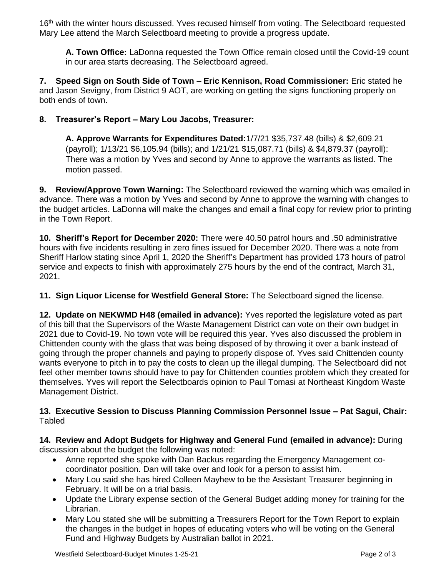16<sup>th</sup> with the winter hours discussed. Yves recused himself from voting. The Selectboard requested Mary Lee attend the March Selectboard meeting to provide a progress update.

**A. Town Office:** LaDonna requested the Town Office remain closed until the Covid-19 count in our area starts decreasing. The Selectboard agreed.

**7. Speed Sign on South Side of Town – Eric Kennison, Road Commissioner:** Eric stated he and Jason Sevigny, from District 9 AOT, are working on getting the signs functioning properly on both ends of town.

## **8. Treasurer's Report – Mary Lou Jacobs, Treasurer:**

**A. Approve Warrants for Expenditures Dated:**1/7/21 \$35,737.48 (bills) & \$2,609.21 (payroll); 1/13/21 \$6,105.94 (bills); and 1/21/21 \$15,087.71 (bills) & \$4,879.37 (payroll): There was a motion by Yves and second by Anne to approve the warrants as listed. The motion passed.

**9. Review/Approve Town Warning:** The Selectboard reviewed the warning which was emailed in advance. There was a motion by Yves and second by Anne to approve the warning with changes to the budget articles. LaDonna will make the changes and email a final copy for review prior to printing in the Town Report.

**10. Sheriff's Report for December 2020:** There were 40.50 patrol hours and .50 administrative hours with five incidents resulting in zero fines issued for December 2020. There was a note from Sheriff Harlow stating since April 1, 2020 the Sheriff's Department has provided 173 hours of patrol service and expects to finish with approximately 275 hours by the end of the contract, March 31, 2021.

**11. Sign Liquor License for Westfield General Store:** The Selectboard signed the license.

**12. Update on NEKWMD H48 (emailed in advance):** Yves reported the legislature voted as part of this bill that the Supervisors of the Waste Management District can vote on their own budget in 2021 due to Covid-19. No town vote will be required this year. Yves also discussed the problem in Chittenden county with the glass that was being disposed of by throwing it over a bank instead of going through the proper channels and paying to properly dispose of. Yves said Chittenden county wants everyone to pitch in to pay the costs to clean up the illegal dumping. The Selectboard did not feel other member towns should have to pay for Chittenden counties problem which they created for themselves. Yves will report the Selectboards opinion to Paul Tomasi at Northeast Kingdom Waste Management District.

## **13. Executive Session to Discuss Planning Commission Personnel Issue – Pat Sagui, Chair:** Tabled

**14. Review and Adopt Budgets for Highway and General Fund (emailed in advance):** During discussion about the budget the following was noted:

- Anne reported she spoke with Dan Backus regarding the Emergency Management cocoordinator position. Dan will take over and look for a person to assist him.
- Mary Lou said she has hired Colleen Mayhew to be the Assistant Treasurer beginning in February. It will be on a trial basis.
- Update the Library expense section of the General Budget adding money for training for the Librarian.
- Mary Lou stated she will be submitting a Treasurers Report for the Town Report to explain the changes in the budget in hopes of educating voters who will be voting on the General Fund and Highway Budgets by Australian ballot in 2021.